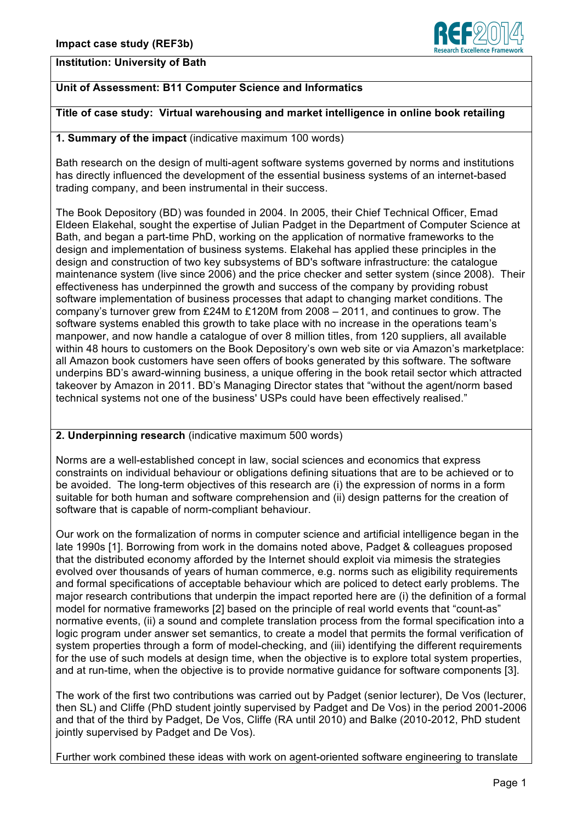

## **Institution: University of Bath**

# **Unit of Assessment: B11 Computer Science and Informatics**

# **Title of case study: Virtual warehousing and market intelligence in online book retailing**

# **1. Summary of the impact** (indicative maximum 100 words)

Bath research on the design of multi-agent software systems governed by norms and institutions has directly influenced the development of the essential business systems of an internet-based trading company, and been instrumental in their success.

The Book Depository (BD) was founded in 2004. In 2005, their Chief Technical Officer, Emad Eldeen Elakehal, sought the expertise of Julian Padget in the Department of Computer Science at Bath, and began a part-time PhD, working on the application of normative frameworks to the design and implementation of business systems. Elakehal has applied these principles in the design and construction of two key subsystems of BD's software infrastructure: the catalogue maintenance system (live since 2006) and the price checker and setter system (since 2008). Their effectiveness has underpinned the growth and success of the company by providing robust software implementation of business processes that adapt to changing market conditions. The company's turnover grew from £24M to £120M from 2008 – 2011, and continues to grow. The software systems enabled this growth to take place with no increase in the operations team's manpower, and now handle a catalogue of over 8 million titles, from 120 suppliers, all available within 48 hours to customers on the Book Depository's own web site or via Amazon's marketplace: all Amazon book customers have seen offers of books generated by this software. The software underpins BD's award-winning business, a unique offering in the book retail sector which attracted takeover by Amazon in 2011. BD's Managing Director states that "without the agent/norm based technical systems not one of the business' USPs could have been effectively realised."

## **2. Underpinning research** (indicative maximum 500 words)

Norms are a well-established concept in law, social sciences and economics that express constraints on individual behaviour or obligations defining situations that are to be achieved or to be avoided. The long-term objectives of this research are (i) the expression of norms in a form suitable for both human and software comprehension and (ii) design patterns for the creation of software that is capable of norm-compliant behaviour.

Our work on the formalization of norms in computer science and artificial intelligence began in the late 1990s [1]. Borrowing from work in the domains noted above, Padget & colleagues proposed that the distributed economy afforded by the Internet should exploit via mimesis the strategies evolved over thousands of years of human commerce, e.g. norms such as eligibility requirements and formal specifications of acceptable behaviour which are policed to detect early problems. The major research contributions that underpin the impact reported here are (i) the definition of a formal model for normative frameworks [2] based on the principle of real world events that "count-as" normative events, (ii) a sound and complete translation process from the formal specification into a logic program under answer set semantics, to create a model that permits the formal verification of system properties through a form of model-checking, and (iii) identifying the different requirements for the use of such models at design time, when the objective is to explore total system properties, and at run-time, when the objective is to provide normative guidance for software components [3].

The work of the first two contributions was carried out by Padget (senior lecturer), De Vos (lecturer, then SL) and Cliffe (PhD student jointly supervised by Padget and De Vos) in the period 2001-2006 and that of the third by Padget, De Vos, Cliffe (RA until 2010) and Balke (2010-2012, PhD student jointly supervised by Padget and De Vos).

Further work combined these ideas with work on agent-oriented software engineering to translate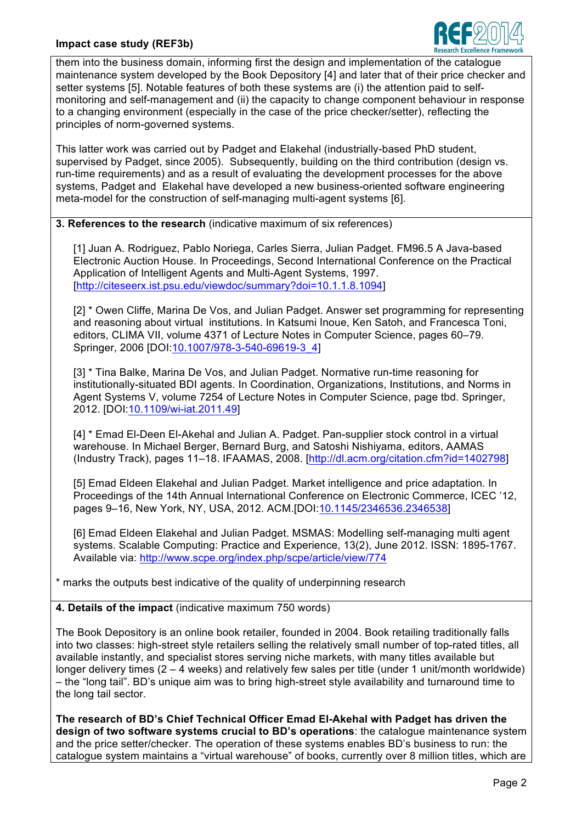

them into the business domain, informing first the design and implementation of the catalogue maintenance system developed by the Book Depository [4] and later that of their price checker and setter systems [5]. Notable features of both these systems are (i) the attention paid to selfmonitoring and self-management and (ii) the capacity to change component behaviour in response to a changing environment (especially in the case of the price checker/setter), reflecting the principles of norm-governed systems.

This latter work was carried out by Padget and Elakehal (industrially-based PhD student, supervised by Padget, since 2005). Subsequently, building on the third contribution (design vs. run-time requirements) and as a result of evaluating the development processes for the above systems, Padget and Elakehal have developed a new business-oriented software engineering meta-model for the construction of self-managing multi-agent systems [6].

**3. References to the research** (indicative maximum of six references)

[1] Juan A. Rodriguez, Pablo Noriega, Carles Sierra, Julian Padget. FM96.5 A Java-based Electronic Auction House. In Proceedings, Second International Conference on the Practical Application of Intelligent Agents and Multi-Agent Systems, 1997. [http://citeseerx.ist.psu.edu/viewdoc/summary?doi=10.1.1.8.1094]

[2] \* Owen Cliffe, Marina De Vos, and Julian Padget. Answer set programming for representing and reasoning about virtual institutions. In Katsumi Inoue, Ken Satoh, and Francesca Toni, editors, CLIMA VII, volume 4371 of Lecture Notes in Computer Science, pages 60–79. Springer, 2006 [DOI:10.1007/978-3-540-69619-3\_4]

[3] \* Tina Balke, Marina De Vos, and Julian Padget. Normative run-time reasoning for institutionally-situated BDI agents. In Coordination, Organizations, Institutions, and Norms in Agent Systems V, volume 7254 of Lecture Notes in Computer Science, page tbd. Springer, 2012. [DOI:10.1109/wi-iat.2011.49]

[4] \* Emad El-Deen El-Akehal and Julian A. Padget. Pan-supplier stock control in a virtual warehouse. In Michael Berger, Bernard Burg, and Satoshi Nishiyama, editors, AAMAS (Industry Track), pages 11–18. IFAAMAS, 2008. [http://dl.acm.org/citation.cfm?id=1402798]

[5] Emad Eldeen Elakehal and Julian Padget. Market intelligence and price adaptation. In Proceedings of the 14th Annual International Conference on Electronic Commerce, ICEC '12, pages 9–16, New York, NY, USA, 2012. ACM.[DOI:10.1145/2346536.2346538]

[6] Emad Eldeen Elakehal and Julian Padget. MSMAS: Modelling self-managing multi agent systems. Scalable Computing: Practice and Experience, 13(2), June 2012. ISSN: 1895-1767. Available via: http://www.scpe.org/index.php/scpe/article/view/774

\* marks the outputs best indicative of the quality of underpinning research

**4. Details of the impact** (indicative maximum 750 words)

The Book Depository is an online book retailer, founded in 2004. Book retailing traditionally falls into two classes: high-street style retailers selling the relatively small number of top-rated titles, all available instantly, and specialist stores serving niche markets, with many titles available but longer delivery times (2 – 4 weeks) and relatively few sales per title (under 1 unit/month worldwide) – the "long tail". BD's unique aim was to bring high-street style availability and turnaround time to the long tail sector.

**The research of BD's Chief Technical Officer Emad El-Akehal with Padget has driven the design of two software systems crucial to BD's operations**: the catalogue maintenance system and the price setter/checker. The operation of these systems enables BD's business to run: the catalogue system maintains a "virtual warehouse" of books, currently over 8 million titles, which are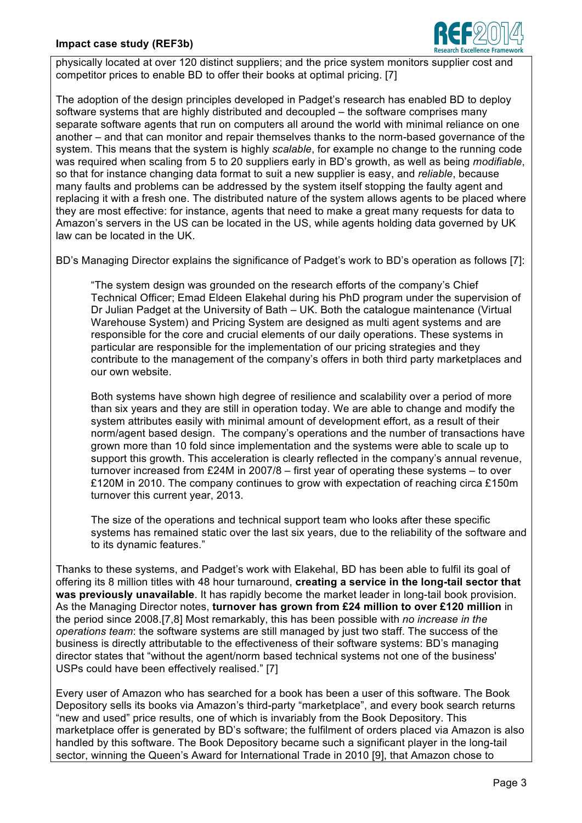## **Impact case study (REF3b)**



physically located at over 120 distinct suppliers; and the price system monitors supplier cost and competitor prices to enable BD to offer their books at optimal pricing. [7]

The adoption of the design principles developed in Padget's research has enabled BD to deploy software systems that are highly distributed and decoupled – the software comprises many separate software agents that run on computers all around the world with minimal reliance on one another – and that can monitor and repair themselves thanks to the norm-based governance of the system. This means that the system is highly *scalable*, for example no change to the running code was required when scaling from 5 to 20 suppliers early in BD's growth, as well as being *modifiable*, so that for instance changing data format to suit a new supplier is easy, and *reliable*, because many faults and problems can be addressed by the system itself stopping the faulty agent and replacing it with a fresh one. The distributed nature of the system allows agents to be placed where they are most effective: for instance, agents that need to make a great many requests for data to Amazon's servers in the US can be located in the US, while agents holding data governed by UK law can be located in the UK.

BD's Managing Director explains the significance of Padget's work to BD's operation as follows [7]:

"The system design was grounded on the research efforts of the company's Chief Technical Officer; Emad Eldeen Elakehal during his PhD program under the supervision of Dr Julian Padget at the University of Bath – UK. Both the catalogue maintenance (Virtual Warehouse System) and Pricing System are designed as multi agent systems and are responsible for the core and crucial elements of our daily operations. These systems in particular are responsible for the implementation of our pricing strategies and they contribute to the management of the company's offers in both third party marketplaces and our own website.

Both systems have shown high degree of resilience and scalability over a period of more than six years and they are still in operation today. We are able to change and modify the system attributes easily with minimal amount of development effort, as a result of their norm/agent based design. The company's operations and the number of transactions have grown more than 10 fold since implementation and the systems were able to scale up to support this growth. This acceleration is clearly reflected in the company's annual revenue, turnover increased from  $£24M$  in 2007/8 – first year of operating these systems – to over £120M in 2010. The company continues to grow with expectation of reaching circa £150m turnover this current year, 2013.

The size of the operations and technical support team who looks after these specific systems has remained static over the last six years, due to the reliability of the software and to its dynamic features."

Thanks to these systems, and Padget's work with Elakehal, BD has been able to fulfil its goal of offering its 8 million titles with 48 hour turnaround, **creating a service in the long-tail sector that was previously unavailable**. It has rapidly become the market leader in long-tail book provision. As the Managing Director notes, **turnover has grown from £24 million to over £120 million** in the period since 2008.[7,8] Most remarkably, this has been possible with *no increase in the operations team*: the software systems are still managed by just two staff. The success of the business is directly attributable to the effectiveness of their software systems: BD's managing director states that "without the agent/norm based technical systems not one of the business' USPs could have been effectively realised." [7]

Every user of Amazon who has searched for a book has been a user of this software. The Book Depository sells its books via Amazon's third-party "marketplace", and every book search returns "new and used" price results, one of which is invariably from the Book Depository. This marketplace offer is generated by BD's software; the fulfilment of orders placed via Amazon is also handled by this software. The Book Depository became such a significant player in the long-tail sector, winning the Queen's Award for International Trade in 2010 [9], that Amazon chose to